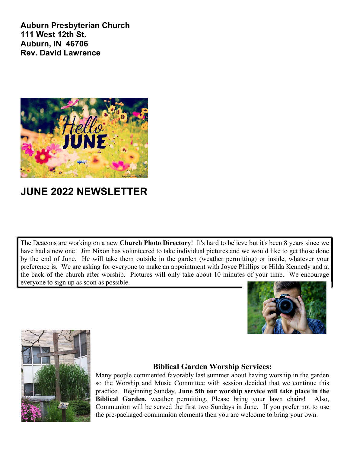**Auburn Presbyterian Church 111 West 12th St. Auburn, IN 46706 Rev. David Lawrence**



# **JUNE 2022 NEWSLETTER**

The Deacons are working on a new **Church Photo Directory**! It's hard to believe but it's been 8 years since we have had a new one! Jim Nixon has volunteered to take individual pictures and we would like to get those done by the end of June. He will take them outside in the garden (weather permitting) or inside, whatever your preference is. We are asking for everyone to make an appointment with Joyce Phillips or Hilda Kennedy and at the back of the church after worship. Pictures will only take about 10 minutes of your time. We encourage everyone to sign up as soon as possible.





### **Biblical Garden Worship Services:**

Many people commented favorably last summer about having worship in the garden so the Worship and Music Committee with session decided that we continue this practice. Beginning Sunday, **June 5th our worship service will take place in the Biblical Garden,** weather permitting. Please bring your lawn chairs! Also, Communion will be served the first two Sundays in June. If you prefer not to use the pre-packaged communion elements then you are welcome to bring your own.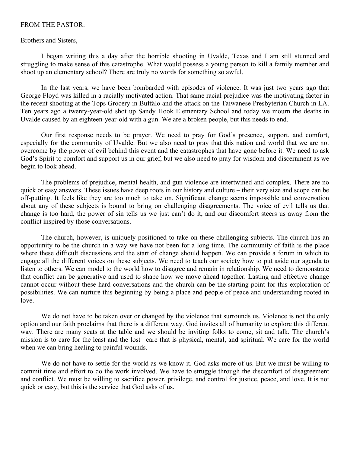#### FROM THE PASTOR:

#### Brothers and Sisters,

I began writing this a day after the horrible shooting in Uvalde, Texas and I am still stunned and struggling to make sense of this catastrophe. What would possess a young person to kill a family member and shoot up an elementary school? There are truly no words for something so awful.

In the last years, we have been bombarded with episodes of violence. It was just two years ago that George Floyd was killed in a racially motivated action. That same racial prejudice was the motivating factor in the recent shooting at the Tops Grocery in Buffalo and the attack on the Taiwanese Presbyterian Church in LA. Ten years ago a twenty-year-old shot up Sandy Hook Elementary School and today we mourn the deaths in Uvalde caused by an eighteen-year-old with a gun. We are a broken people, but this needs to end.

Our first response needs to be prayer. We need to pray for God's presence, support, and comfort, especially for the community of Uvalde. But we also need to pray that this nation and world that we are not overcome by the power of evil behind this event and the catastrophes that have gone before it. We need to ask God's Spirit to comfort and support us in our grief, but we also need to pray for wisdom and discernment as we begin to look ahead.

The problems of prejudice, mental health, and gun violence are intertwined and complex. There are no quick or easy answers. These issues have deep roots in our history and culture – their very size and scope can be off-putting. It feels like they are too much to take on. Significant change seems impossible and conversation about any of these subjects is bound to bring on challenging disagreements. The voice of evil tells us that change is too hard, the power of sin tells us we just can't do it, and our discomfort steers us away from the conflict inspired by those conversations.

The church, however, is uniquely positioned to take on these challenging subjects. The church has an opportunity to be the church in a way we have not been for a long time. The community of faith is the place where these difficult discussions and the start of change should happen. We can provide a forum in which to engage all the different voices on these subjects. We need to teach our society how to put aside our agenda to listen to others. We can model to the world how to disagree and remain in relationship. We need to demonstrate that conflict can be generative and used to shape how we move ahead together. Lasting and effective change cannot occur without these hard conversations and the church can be the starting point for this exploration of possibilities. We can nurture this beginning by being a place and people of peace and understanding rooted in love.

We do not have to be taken over or changed by the violence that surrounds us. Violence is not the only option and our faith proclaims that there is a different way. God invites all of humanity to explore this different way. There are many seats at the table and we should be inviting folks to come, sit and talk. The church's mission is to care for the least and the lost –care that is physical, mental, and spiritual. We care for the world when we can bring healing to painful wounds.

We do not have to settle for the world as we know it. God asks more of us. But we must be willing to commit time and effort to do the work involved. We have to struggle through the discomfort of disagreement and conflict. We must be willing to sacrifice power, privilege, and control for justice, peace, and love. It is not quick or easy, but this is the service that God asks of us.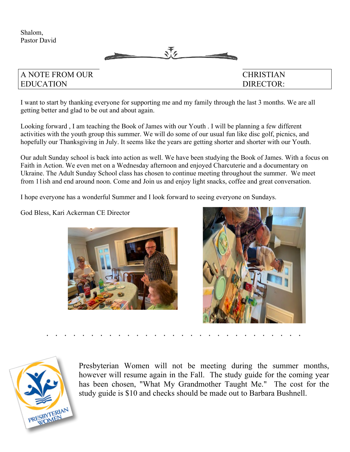



## A NOTE FROM OUR CHRISTIAN EDUCATION DIRECTOR:

I want to start by thanking everyone for supporting me and my family through the last 3 months. We are all getting better and glad to be out and about again.

Looking forward , I am teaching the Book of James with our Youth . I will be planning a few different activities with the youth group this summer. We will do some of our usual fun like disc golf, picnics, and hopefully our Thanksgiving in July. It seems like the years are getting shorter and shorter with our Youth.

Our adult Sunday school is back into action as well. We have been studying the Book of James. With a focus on Faith in Action. We even met on a Wednesday afternoon and enjoyed Charcuterie and a documentary on Ukraine. The Adult Sunday School class has chosen to continue meeting throughout the summer. We meet from 11ish and end around noon. Come and Join us and enjoy light snacks, coffee and great conversation.

I hope everyone has a wonderful Summer and I look forward to seeing everyone on Sundays.

God Bless, Kari Ackerman CE Director







Presbyterian Women will not be meeting during the summer months, however will resume again in the Fall. The study guide for the coming year has been chosen, "What My Grandmother Taught Me." The cost for the study guide is \$10 and checks should be made out to Barbara Bushnell.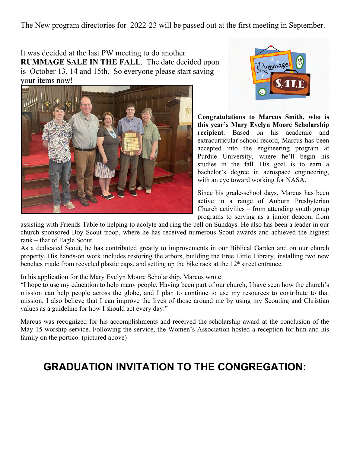The New program directories for 2022-23 will be passed out at the first meeting in September.

It was decided at the last PW meeting to do another **RUMMAGE SALE IN THE FALL**. The date decided upon is October 13, 14 and 15th. So everyone please start saving your items now!





**Congratulations to Marcus Smith, who is this year's Mary Evelyn Moore Scholarship recipient**. Based on his academic and extracurricular school record, Marcus has been accepted into the engineering program at Purdue University, where he'll begin his studies in the fall. His goal is to earn a bachelor's degree in aerospace engineering, with an eye toward working for NASA.

Since his grade-school days, Marcus has been active in a range of Auburn Presbyterian Church activities – from attending youth group programs to serving as a junior deacon, from

assisting with Friends Table to helping to acolyte and ring the bell on Sundays. He also has been a leader in our church-sponsored Boy Scout troop, where he has received numerous Scout awards and achieved the highest rank – that of Eagle Scout.

As a dedicated Scout, he has contributed greatly to improvements in our Biblical Garden and on our church property. His hands-on work includes restoring the arbors, building the Free Little Library, installing two new benches made from recycled plastic caps, and setting up the bike rack at the  $12<sup>th</sup>$  street entrance.

In his application for the Mary Evelyn Moore Scholarship, Marcus wrote:

"I hope to use my education to help many people. Having been part of our church, I have seen how the church's mission can help people across the globe, and I plan to continue to use my resources to contribute to that mission. I also believe that I can improve the lives of those around me by using my Scouting and Christian values as a guideline for how I should act every day."

Marcus was recognized for his accomplishments and received the scholarship award at the conclusion of the May 15 worship service. Following the service, the Women's Association hosted a reception for him and his family on the portico. (pictured above)

# **GRADUATION INVITATION TO THE CONGREGATION:**